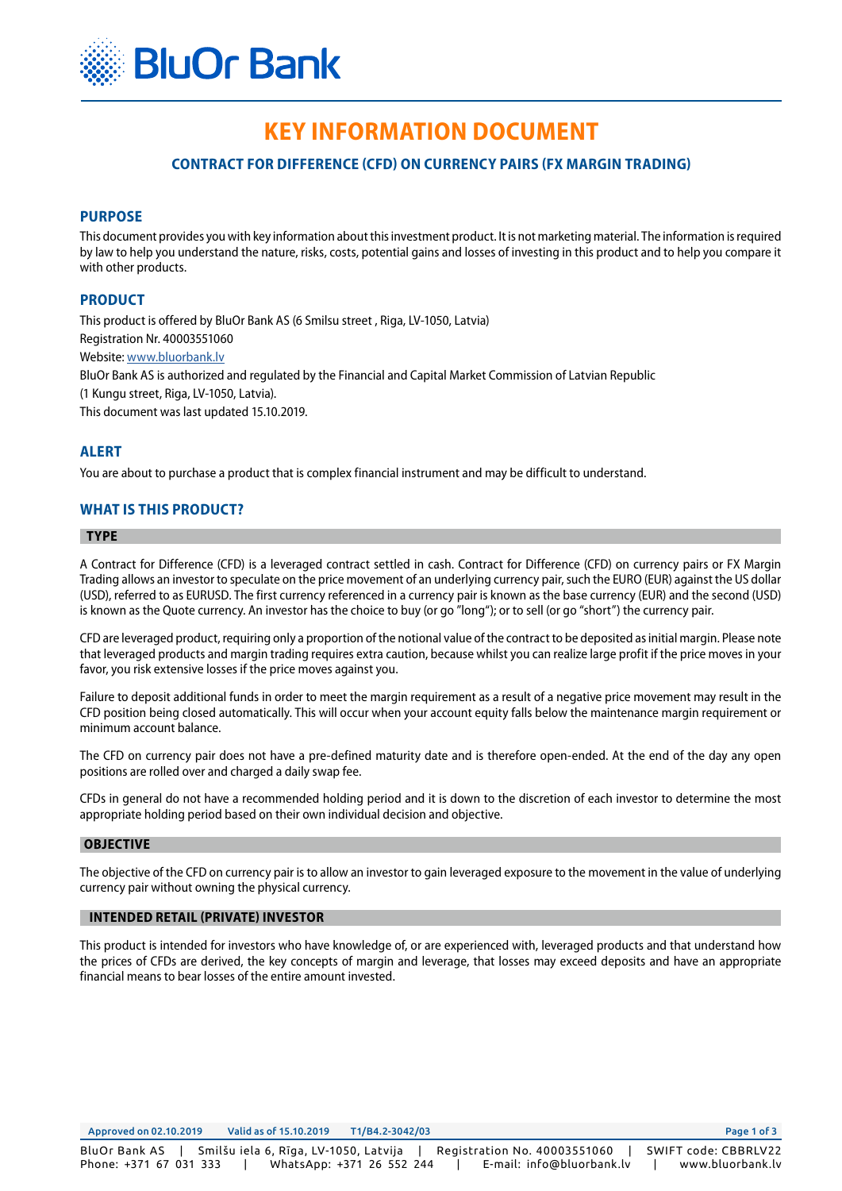

# **KEY INFORMATION DOCUMENТ**

# **CONTRACT FOR DIFFERENCE (CFD) ON CURRENCY PAIRS (FX MARGIN TRADING)**

## **PURPOSE**

This document provides you with key information about this investment product. It is not marketing material. The information is required by law to help you understand the nature, risks, costs, potential gains and losses of investing in this product and to help you compare it with other products.

## **PRODUCT**

This product is offered by BluOr Bank AS (6 Smilsu street , Riga, LV-1050, Latvia) Registration Nr. 40003551060 Website: [www.bluorbank.lv](https://www.bluorbank.lv/en/index) BluOr Bank AS is authorized and regulated by the Financial and Capital Market Commission of Latvian Republic (1 Kungu street, Riga, LV-1050, Latvia). This document was last updated 15.10.2019.

## **ALERT**

You are about to purchase a product that is complex financial instrument and may be difficult to understand.

## **WHAT IS THIS PRODUCT?**

#### **TYPE**

A Contract for Difference (CFD) is a leveraged contract settled in cash. Contract for Difference (CFD) on currency pairs or FX Margin Trading allows an investor to speculate on the price movement of an underlying currency pair, such the EURO (EUR) against the US dollar (USD), referred to as EURUSD. The first currency referenced in a currency pair is known as the base currency (EUR) and the second (USD) is known as the Quote currency. An investor has the choice to buy (or go "long"); or to sell (or go "short") the currency pair.

CFD are leveraged product, requiring only a proportion of the notional value of the contract to be deposited as initial margin. Please note that leveraged products and margin trading requires extra caution, because whilst you can realize large profit if the price moves in your favor, you risk extensive losses if the price moves against you.

Failure to deposit additional funds in order to meet the margin requirement as a result of a negative price movement may result in the CFD position being closed automatically. This will occur when your account equity falls below the maintenance margin requirement or minimum account balance.

The CFD on currency pair does not have a pre-defined maturity date and is therefore open-ended. At the end of the day any open positions are rolled over and charged a daily swap fee.

CFDs in general do not have a recommended holding period and it is down to the discretion of each investor to determine the most appropriate holding period based on their own individual decision and objective.

#### **OBJECTIVE**

The objective of the CFD on currency pair is to allow an investor to gain leveraged exposure to the movement in the value of underlying currency pair without owning the physical currency.

#### **INTENDED RETAIL (PRIVATE) INVESTOR**

This product is intended for investors who have knowledge of, or are experienced with, leveraged products and that understand how the prices of CFDs are derived, the key concepts of margin and leverage, that losses may exceed deposits and have an appropriate financial means to bear losses of the entire amount invested.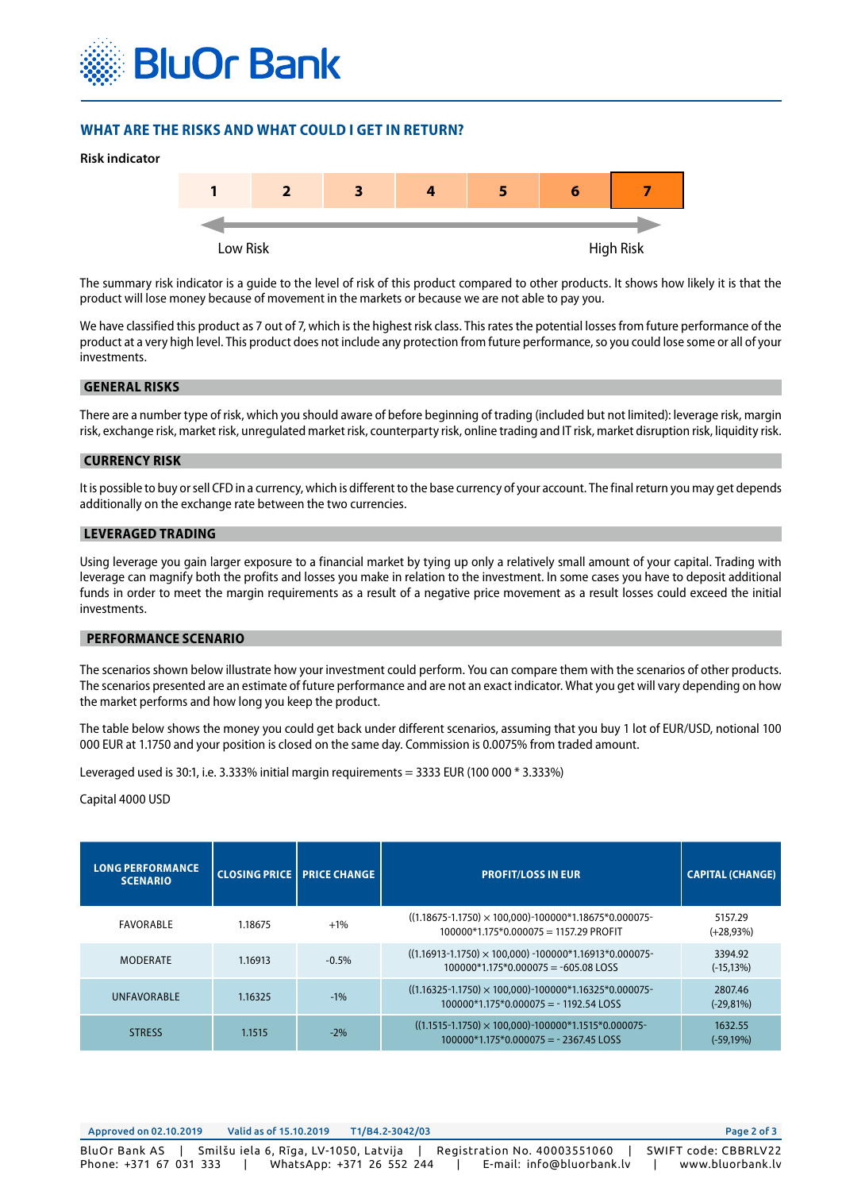

## **WHAT ARE THE RISKS AND WHAT COULD I GET IN RETURN?**



The summary risk indicator is a guide to the level of risk of this product compared to other products. It shows how likely it is that the product will lose money because of movement in the markets or because we are not able to pay you.

We have classified this product as 7 out of 7, which is the highest risk class. This rates the potential losses from future performance of the product at a very high level. This product does not include any protection from future performance, so you could lose some or all of your investments.

#### **GENERAL RISKS**

There are a number type of risk, which you should aware of before beginning of trading (included but not limited): leverage risk, margin risk, exchange risk, market risk, unregulated market risk, counterparty risk, online trading and IT risk, market disruption risk, liquidity risk.

#### **CURRENCY RISK**

It is possible to buy or sell CFD in a currency, which is different to the base currency of your account. The final return you may get depends additionally on the exchange rate between the two currencies.

## **LEVERAGED TRADING**

Using leverage you gain larger exposure to a financial market by tying up only a relatively small amount of your capital. Trading with leverage can magnify both the profits and losses you make in relation to the investment. In some cases you have to deposit additional funds in order to meet the margin requirements as a result of a negative price movement as a result losses could exceed the initial investments.

#### **PERFORMANCE SCENARIO**

The scenarios shown below illustrate how your investment could perform. You can compare them with the scenarios of other products. The scenarios presented are an estimate of future performance and are not an exact indicator. What you get will vary depending on how the market performs and how long you keep the product.

The table below shows the money you could get back under different scenarios, assuming that you buy 1 lot of EUR/USD, notional 100 000 EUR at 1.1750 and your position is closed on the same day. Commission is 0.0075% from traded amount.

Leveraged used is 30:1, i.e. 3.333% initial margin requirements = 3333 EUR (100 000 \* 3.333%)

#### Capital 4000 USD

| <b>LONG PERFORMANCE</b><br><b>SCENARIO</b> |         | <b>CLOSING PRICE   PRICE CHANGE</b> | <b>PROFIT/LOSS IN EUR</b>                                                                                   | <b>CAPITAL (CHANGE)</b> |
|--------------------------------------------|---------|-------------------------------------|-------------------------------------------------------------------------------------------------------------|-------------------------|
| FAVORABLE                                  | 1.18675 | $+1\%$                              | $((1.18675 - 1.1750) \times 100,000) - 100000*1.18675*0.000075-$<br>100000*1.175*0.000075 = 1157.29 PROFIT  | 5157.29<br>$(+28,93%)$  |
| <b>MODERATE</b>                            | 1.16913 | $-0.5\%$                            | $((1.16913 - 1.1750) \times 100,000) - 100000*1.16913*0.000075-$<br>$100000*1.175*0.000075 = -605.08$ LOSS  | 3394.92<br>$(-15, 13%)$ |
| <b>UNFAVORABLE</b>                         | 1.16325 | $-1\%$                              | $((1.16325 - 1.1750) \times 100,000) - 100000*1.16325*0.000075-$<br>$100000*1.175*0.000075 = -1192.54$ LOSS | 2807.46<br>$(-29,81%)$  |
| <b>STRESS</b>                              | 1.1515  | $-2\%$                              | $((1.1515-1.1750) \times 100,000)$ -100000*1.1515*0.000075-<br>$100000*1.175*0.000075 = -2367.45$ LOSS      | 1632.55<br>$(-59,19%)$  |

| Approved on 02.10.2019 | Valid as of 15.10.2019                                | T1/B4.2-3042/03                                           | Page 2 of 3                                                           |
|------------------------|-------------------------------------------------------|-----------------------------------------------------------|-----------------------------------------------------------------------|
| Phone: +371 67 031 333 | BluOr Bank AS   Smilšu iela 6, Rīga, LV-1050, Latvija | Registration No. 40003551060<br>WhatsApp: +371 26 552 244 | SWIFT code: CBBRLV22<br>E-mail: info@bluorbank.lv<br>www.bluorbank.lv |